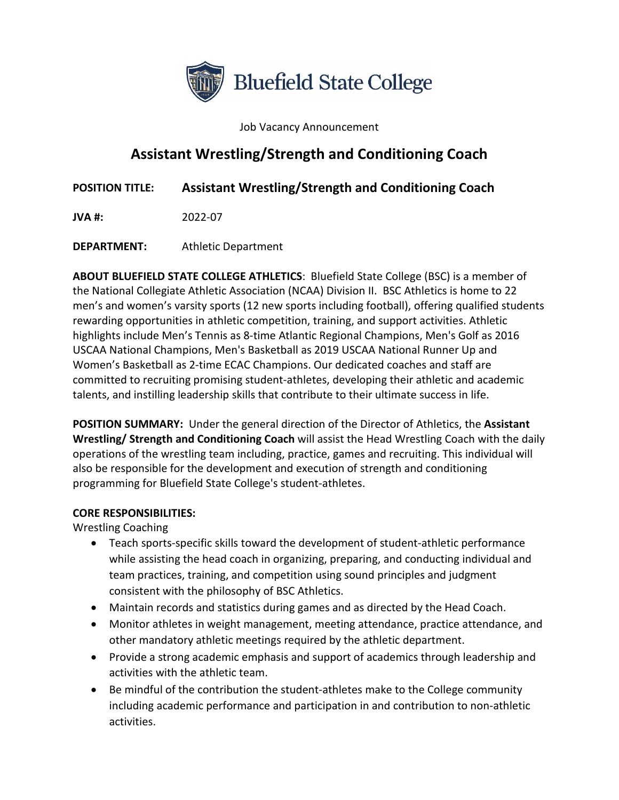

Job Vacancy Announcement

# **Assistant Wrestling/Strength and Conditioning Coach**

**POSITION TITLE: Assistant Wrestling/Strength and Conditioning Coach**

**JVA #:** 2022-07

**DEPARTMENT:** Athletic Department

**ABOUT BLUEFIELD STATE COLLEGE ATHLETICS**: Bluefield State College (BSC) is a member of the National Collegiate Athletic Association (NCAA) Division II. BSC Athletics is home to 22 men's and women's varsity sports (12 new sports including football), offering qualified students rewarding opportunities in athletic competition, training, and support activities. Athletic highlights include Men's Tennis as 8-time Atlantic Regional Champions, Men's Golf as 2016 USCAA National Champions, Men's Basketball as 2019 USCAA National Runner Up and Women's Basketball as 2-time ECAC Champions. Our dedicated coaches and staff are committed to recruiting promising student-athletes, developing their athletic and academic talents, and instilling leadership skills that contribute to their ultimate success in life.

**POSITION SUMMARY:** Under the general direction of the Director of Athletics, the **Assistant Wrestling/ Strength and Conditioning Coach** will assist the Head Wrestling Coach with the daily operations of the wrestling team including, practice, games and recruiting. This individual will also be responsible for the development and execution of strength and conditioning programming for Bluefield State College's student-athletes.

#### **CORE RESPONSIBILITIES:**

Wrestling Coaching

- Teach sports-specific skills toward the development of student-athletic performance while assisting the head coach in organizing, preparing, and conducting individual and team practices, training, and competition using sound principles and judgment consistent with the philosophy of BSC Athletics.
- Maintain records and statistics during games and as directed by the Head Coach.
- Monitor athletes in weight management, meeting attendance, practice attendance, and other mandatory athletic meetings required by the athletic department.
- Provide a strong academic emphasis and support of academics through leadership and activities with the athletic team.
- Be mindful of the contribution the student-athletes make to the College community including academic performance and participation in and contribution to non-athletic activities.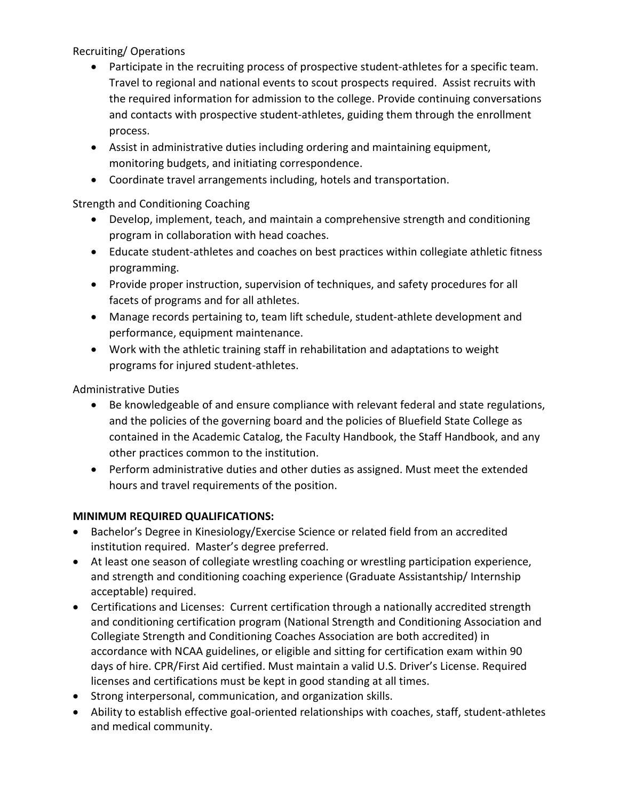#### Recruiting/ Operations

- Participate in the recruiting process of prospective student-athletes for a specific team. Travel to regional and national events to scout prospects required. Assist recruits with the required information for admission to the college. Provide continuing conversations and contacts with prospective student-athletes, guiding them through the enrollment process.
- Assist in administrative duties including ordering and maintaining equipment, monitoring budgets, and initiating correspondence.
- Coordinate travel arrangements including, hotels and transportation.

# Strength and Conditioning Coaching

- Develop, implement, teach, and maintain a comprehensive strength and conditioning program in collaboration with head coaches.
- Educate student-athletes and coaches on best practices within collegiate athletic fitness programming.
- Provide proper instruction, supervision of techniques, and safety procedures for all facets of programs and for all athletes.
- Manage records pertaining to, team lift schedule, student-athlete development and performance, equipment maintenance.
- Work with the athletic training staff in rehabilitation and adaptations to weight programs for injured student-athletes.

# Administrative Duties

- Be knowledgeable of and ensure compliance with relevant federal and state regulations, and the policies of the governing board and the policies of Bluefield State College as contained in the Academic Catalog, the Faculty Handbook, the Staff Handbook, and any other practices common to the institution.
- Perform administrative duties and other duties as assigned. Must meet the extended hours and travel requirements of the position.

# **MINIMUM REQUIRED QUALIFICATIONS:**

- Bachelor's Degree in Kinesiology/Exercise Science or related field from an accredited institution required. Master's degree preferred.
- At least one season of collegiate wrestling coaching or wrestling participation experience, and strength and conditioning coaching experience (Graduate Assistantship/ Internship acceptable) required.
- Certifications and Licenses: Current certification through a nationally accredited strength and conditioning certification program (National Strength and Conditioning Association and Collegiate Strength and Conditioning Coaches Association are both accredited) in accordance with NCAA guidelines, or eligible and sitting for certification exam within 90 days of hire. CPR/First Aid certified. Must maintain a valid U.S. Driver's License. Required licenses and certifications must be kept in good standing at all times.
- Strong interpersonal, communication, and organization skills.
- Ability to establish effective goal-oriented relationships with coaches, staff, student-athletes and medical community.